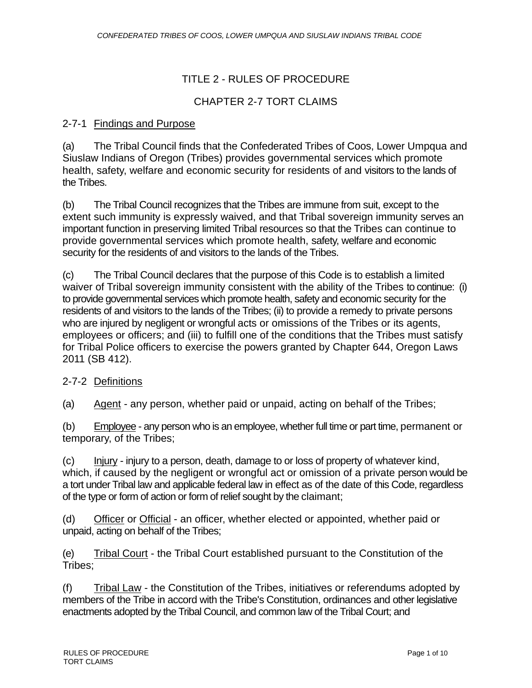# TITLE 2 - RULES OF PROCEDURE

#### CHAPTER 2-7 TORT CLAIMS

#### 2-7-1 Findings and Purpose

(a) The Tribal Council finds that the Confederated Tribes of Coos, Lower Umpqua and Siuslaw Indians of Oregon (Tribes) provides governmental services which promote health, safety, welfare and economic security for residents of and visitors to the lands of the Tribes.

(b) The Tribal Council recognizes that the Tribes are immune from suit, except to the extent such immunity is expressly waived, and that Tribal sovereign immunity serves an important function in preserving limited Tribal resources so that the Tribes can continue to provide governmental services which promote health, safety, welfare and economic security for the residents of and visitors to the lands of the Tribes.

(c) The Tribal Council declares that the purpose of this Code is to establish a limited waiver of Tribal sovereign immunity consistent with the ability of the Tribes to continue: (i) to provide governmental services which promote health, safety and economic security for the residents of and visitors to the lands of the Tribes; (ii) to provide a remedy to private persons who are injured by negligent or wrongful acts or omissions of the Tribes or its agents, employees or officers; and (iii) to fulfill one of the conditions that the Tribes must satisfy for Tribal Police officers to exercise the powers granted by Chapter 644, Oregon Laws 2011 (SB 412).

#### 2-7-2 Definitions

(a) Agent - any person, whether paid or unpaid, acting on behalf of the Tribes;

(b) Employee - any person who is an employee, whether full time or part time, permanent or temporary, of the Tribes;

(c) Injury - injury to a person, death, damage to or loss of property of whatever kind, which, if caused by the negligent or wrongful act or omission of a private person would be a tort under Tribal law and applicable federal law in effect as of the date of this Code, regardless of the type or form of action or form of relief sought by the claimant;

(d) Officer or Official - an officer, whether elected or appointed, whether paid or unpaid, acting on behalf of the Tribes;

(e) Tribal Court - the Tribal Court established pursuant to the Constitution of the Tribes;

(f) Tribal Law - the Constitution of the Tribes, initiatives or referendums adopted by members of the Tribe in accord with the Tribe's Constitution, ordinances and other legislative enactments adopted by the Tribal Council, and common law of the Tribal Court; and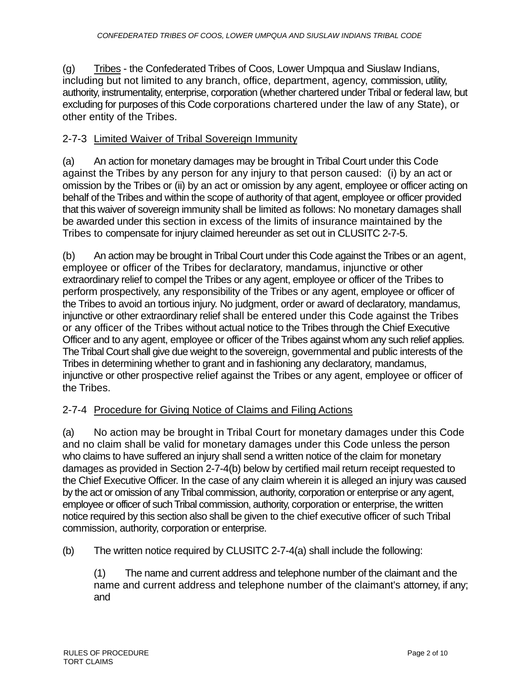(g) Tribes - the Confederated Tribes of Coos, Lower Umpqua and Siuslaw Indians, including but not limited to any branch, office, department, agency, commission, utility, authority, instrumentality, enterprise, corporation (whether chartered under Tribal or federal law, but excluding for purposes of this Code corporations chartered under the law of any State), or other entity of the Tribes.

# 2-7-3 Limited Waiver of Tribal Sovereign Immunity

(a) An action for monetary damages may be brought in Tribal Court under this Code against the Tribes by any person for any injury to that person caused: (i) by an act or omission by the Tribes or (ii) by an act or omission by any agent, employee or officer acting on behalf of the Tribes and within the scope of authority of that agent, employee or officer provided that this waiver of sovereign immunity shall be limited as follows: No monetary damages shall be awarded under this section in excess of the limits of insurance maintained by the Tribes to compensate for injury claimed hereunder as set out in CLUSITC 2-7-5.

(b) An action may be brought in Tribal Court under this Code against the Tribes or an agent, employee or officer of the Tribes for declaratory, mandamus, injunctive or other extraordinary relief to compel the Tribes or any agent, employee or officer of the Tribes to perform prospectively, any responsibility of the Tribes or any agent, employee or officer of the Tribes to avoid an tortious injury. No judgment, order or award of declaratory, mandamus, injunctive or other extraordinary relief shall be entered under this Code against the Tribes or any officer of the Tribes without actual notice to the Tribes through the Chief Executive Officer and to any agent, employee or officer of the Tribes against whom any such relief applies. The Tribal Court shall give due weight to the sovereign, governmental and public interests of the Tribes in determining whether to grant and in fashioning any declaratory, mandamus, injunctive or other prospective relief against the Tribes or any agent, employee or officer of the Tribes.

## 2-7-4 Procedure for Giving Notice of Claims and Filing Actions

(a) No action may be brought in Tribal Court for monetary damages under this Code and no claim shall be valid for monetary damages under this Code unless the person who claims to have suffered an injury shall send a written notice of the claim for monetary damages as provided in Section 2-7-4(b) below by certified mail return receipt requested to the Chief Executive Officer. In the case of any claim wherein it is alleged an injury was caused by the act or omission of any Tribal commission, authority, corporation or enterprise or any agent, employee or officer of such Tribal commission, authority, corporation or enterprise, the written notice required by this section also shall be given to the chief executive officer of such Tribal commission, authority, corporation or enterprise.

(b) The written notice required by CLUSITC 2-7-4(a) shall include the following:

(1) The name and current address and telephone number of the claimant and the name and current address and telephone number of the claimant's attorney, if any; and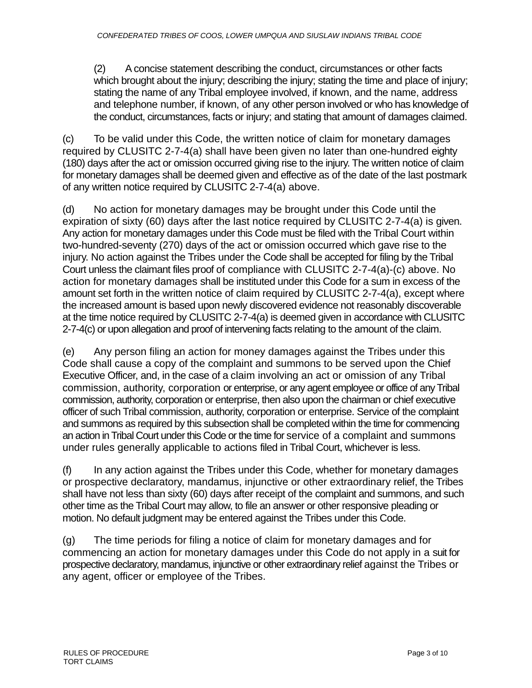(2) A concise statement describing the conduct, circumstances or other facts which brought about the injury; describing the injury; stating the time and place of injury; stating the name of any Tribal employee involved, if known, and the name, address and telephone number, if known, of any other person involved or who has knowledge of the conduct, circumstances, facts or injury; and stating that amount of damages claimed.

(c) To be valid under this Code, the written notice of claim for monetary damages required by CLUSITC 2-7-4(a) shall have been given no later than one-hundred eighty (180) days after the act or omission occurred giving rise to the injury. The written notice of claim for monetary damages shall be deemed given and effective as of the date of the last postmark of any written notice required by CLUSITC 2-7-4(a) above.

(d) No action for monetary damages may be brought under this Code until the expiration of sixty (60) days after the last notice required by CLUSITC 2-7-4(a) is given. Any action for monetary damages under this Code must be filed with the Tribal Court within two-hundred-seventy (270) days of the act or omission occurred which gave rise to the injury. No action against the Tribes under the Code shall be accepted for filing by the Tribal Court unless the claimant files proof of compliance with CLUSITC 2-7-4(a)-(c) above. No action for monetary damages shall be instituted under this Code for a sum in excess of the amount set forth in the written notice of claim required by CLUSITC 2-7-4(a), except where the increased amount is based upon newly discovered evidence not reasonably discoverable at the time notice required by CLUSITC 2-7-4(a) is deemed given in accordance with CLUSITC 2-7-4(c) or upon allegation and proof of intervening facts relating to the amount of the claim.

(e) Any person filing an action for money damages against the Tribes under this Code shall cause a copy of the complaint and summons to be served upon the Chief Executive Officer, and, in the case of a claim involving an act or omission of any Tribal commission, authority, corporation or enterprise, or any agent employee or office of any Tribal commission, authority, corporation or enterprise, then also upon the chairman or chief executive officer of such Tribal commission, authority, corporation or enterprise. Service of the complaint and summons as required by this subsection shall be completed within the time for commencing an action in Tribal Court under this Code or the time for service of a complaint and summons under rules generally applicable to actions filed in Tribal Court, whichever is less.

(f) In any action against the Tribes under this Code, whether for monetary damages or prospective declaratory, mandamus, injunctive or other extraordinary relief, the Tribes shall have not less than sixty (60) days after receipt of the complaint and summons, and such other time as the Tribal Court may allow, to file an answer or other responsive pleading or motion. No default judgment may be entered against the Tribes under this Code.

(g) The time periods for filing a notice of claim for monetary damages and for commencing an action for monetary damages under this Code do not apply in a suit for prospective declaratory, mandamus, injunctive or other extraordinary relief against the Tribes or any agent, officer or employee of the Tribes.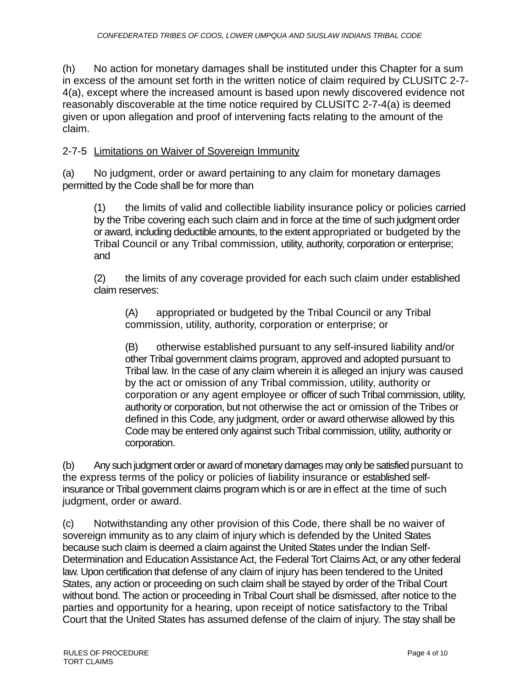(h) No action for monetary damages shall be instituted under this Chapter for a sum in excess of the amount set forth in the written notice of claim required by CLUSITC 2-7- 4(a), except where the increased amount is based upon newly discovered evidence not reasonably discoverable at the time notice required by CLUSITC 2-7-4(a) is deemed given or upon allegation and proof of intervening facts relating to the amount of the claim.

## 2-7-5 Limitations on Waiver of Sovereign Immunity

(a) No judgment, order or award pertaining to any claim for monetary damages permitted by the Code shall be for more than

(1) the limits of valid and collectible liability insurance policy or policies carried by the Tribe covering each such claim and in force at the time of such judgment order or award, including deductible amounts, to the extent appropriated or budgeted by the Tribal Council or any Tribal commission, utility, authority, corporation or enterprise; and

(2) the limits of any coverage provided for each such claim under established claim reserves:

(A) appropriated or budgeted by the Tribal Council or any Tribal commission, utility, authority, corporation or enterprise; or

(B) otherwise established pursuant to any self-insured liability and/or other Tribal government claims program, approved and adopted pursuant to Tribal law. In the case of any claim wherein it is alleged an injury was caused by the act or omission of any Tribal commission, utility, authority or corporation or any agent employee or officer of such Tribal commission, utility, authority or corporation, but not otherwise the act or omission of the Tribes or defined in this Code, any judgment, order or award otherwise allowed by this Code may be entered only against such Tribal commission, utility, authority or corporation.

(b) Any such judgment order or award of monetary damages may only be satisfied pursuant to the express terms of the policy or policies of liability insurance or established selfinsurance or Tribal government claims program which is or are in effect at the time of such judgment, order or award.

(c) Notwithstanding any other provision of this Code, there shall be no waiver of sovereign immunity as to any claim of injury which is defended by the United States because such claim is deemed a claim against the United States under the Indian Self-Determination and Education Assistance Act, the Federal Tort Claims Act, or any other federal law. Upon certification that defense of any claim of injury has been tendered to the United States, any action or proceeding on such claim shall be stayed by order of the Tribal Court without bond. The action or proceeding in Tribal Court shall be dismissed, after notice to the parties and opportunity for a hearing, upon receipt of notice satisfactory to the Tribal Court that the United States has assumed defense of the claim of injury. The stay shall be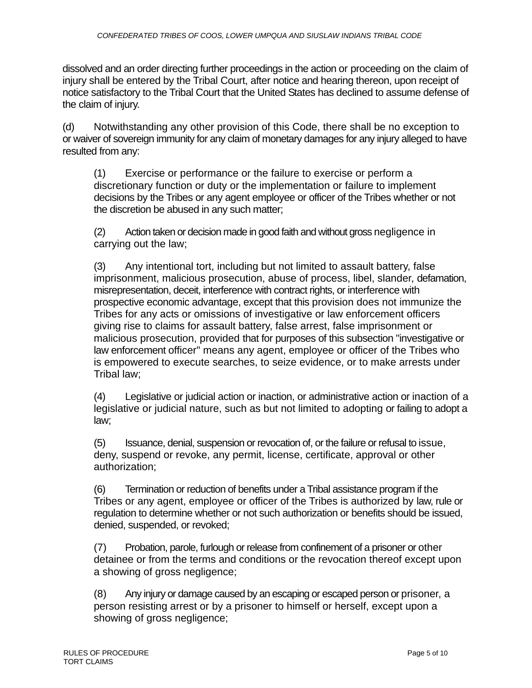dissolved and an order directing further proceedings in the action or proceeding on the claim of injury shall be entered by the Tribal Court, after notice and hearing thereon, upon receipt of notice satisfactory to the Tribal Court that the United States has declined to assume defense of the claim of injury.

(d) Notwithstanding any other provision of this Code, there shall be no exception to or waiver of sovereign immunity for any claim of monetary damages for any injury alleged to have resulted from any:

(1) Exercise or performance or the failure to exercise or perform a discretionary function or duty or the implementation or failure to implement decisions by the Tribes or any agent employee or officer of the Tribes whether or not the discretion be abused in any such matter;

(2) Action taken or decision made in good faith and without gross negligence in carrying out the law;

(3) Any intentional tort, including but not limited to assault battery, false imprisonment, malicious prosecution, abuse of process, libel, slander, defamation, misrepresentation, deceit, interference with contract rights, or interference with prospective economic advantage, except that this provision does not immunize the Tribes for any acts or omissions of investigative or law enforcement officers giving rise to claims for assault battery, false arrest, false imprisonment or malicious prosecution, provided that for purposes of this subsection "investigative or law enforcement officer" means any agent, employee or officer of the Tribes who is empowered to execute searches, to seize evidence, or to make arrests under Tribal law;

(4) Legislative or judicial action or inaction, or administrative action or inaction of a legislative or judicial nature, such as but not limited to adopting or failing to adopt a law;

(5) Issuance, denial, suspension or revocation of, or the failure or refusal to issue, deny, suspend or revoke, any permit, license, certificate, approval or other authorization;

(6) Termination or reduction of benefits under a Tribal assistance program if the Tribes or any agent, employee or officer of the Tribes is authorized by law, rule or regulation to determine whether or not such authorization or benefits should be issued, denied, suspended, or revoked;

(7) Probation, parole, furlough or release from confinement of a prisoner or other detainee or from the terms and conditions or the revocation thereof except upon a showing of gross negligence;

(8) Any injury or damage caused by an escaping or escaped person or prisoner, a person resisting arrest or by a prisoner to himself or herself, except upon a showing of gross negligence;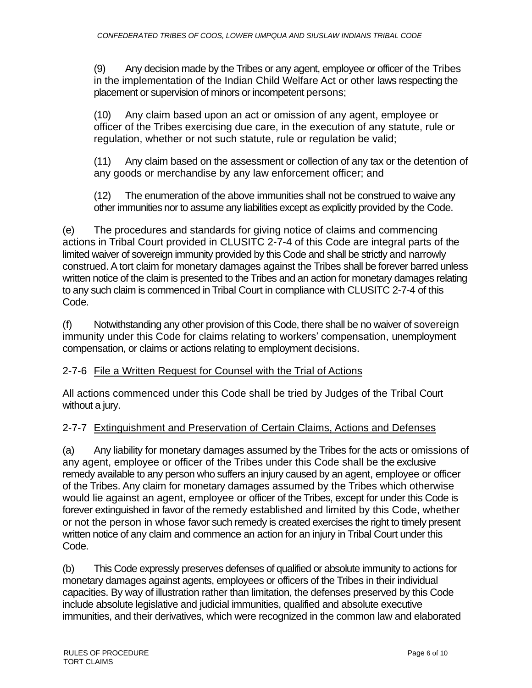(9) Any decision made by the Tribes or any agent, employee or officer of the Tribes in the implementation of the Indian Child Welfare Act or other laws respecting the placement or supervision of minors or incompetent persons;

(10) Any claim based upon an act or omission of any agent, employee or officer of the Tribes exercising due care, in the execution of any statute, rule or regulation, whether or not such statute, rule or regulation be valid;

(11) Any claim based on the assessment or collection of any tax or the detention of any goods or merchandise by any law enforcement officer; and

(12) The enumeration of the above immunities shall not be construed to waive any other immunities nor to assume any liabilities except as explicitly provided by the Code.

(e) The procedures and standards for giving notice of claims and commencing actions in Tribal Court provided in CLUSITC 2-7-4 of this Code are integral parts of the limited waiver of sovereign immunity provided by this Code and shall be strictly and narrowly construed. A tort claim for monetary damages against the Tribes shall be forever barred unless written notice of the claim is presented to the Tribes and an action for monetary damages relating to any such claim is commenced in Tribal Court in compliance with CLUSITC 2-7-4 of this Code.

(f) Notwithstanding any other provision of this Code, there shall be no waiver of sovereign immunity under this Code for claims relating to workers' compensation, unemployment compensation, or claims or actions relating to employment decisions.

# 2-7-6 File a Written Request for Counsel with the Trial of Actions

All actions commenced under this Code shall be tried by Judges of the Tribal Court without a jury.

# 2-7-7 Extinguishment and Preservation of Certain Claims, Actions and Defenses

(a) Any liability for monetary damages assumed by the Tribes for the acts or omissions of any agent, employee or officer of the Tribes under this Code shall be the exclusive remedy available to any person who suffers an injury caused by an agent, employee or officer of the Tribes. Any claim for monetary damages assumed by the Tribes which otherwise would lie against an agent, employee or officer of the Tribes, except for under this Code is forever extinguished in favor of the remedy established and limited by this Code, whether or not the person in whose favor such remedy is created exercises the right to timely present written notice of any claim and commence an action for an injury in Tribal Court under this Code.

(b) This Code expressly preserves defenses of qualified or absolute immunity to actions for monetary damages against agents, employees or officers of the Tribes in their individual capacities. By way of illustration rather than limitation, the defenses preserved by this Code include absolute legislative and judicial immunities, qualified and absolute executive immunities, and their derivatives, which were recognized in the common law and elaborated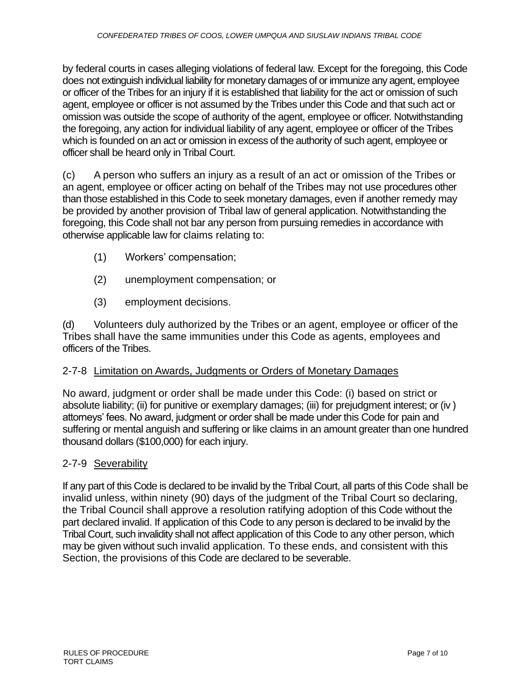by federal courts in cases alleging violations of federal law. Except for the foregoing, this Code does not extinguish individual liability for monetary damages of or immunize any agent, employee or officer of the Tribes for an injury if it is established that liability for the act or omission of such agent, employee or officer is not assumed by the Tribes under this Code and that such act or omission was outside the scope of authority of the agent, employee or officer. Notwithstanding the foregoing, any action for individual liability of any agent, employee or officer of the Tribes which is founded on an act or omission in excess of the authority of such agent, employee or officer shall be heard only in Tribal Court.

(c) A person who suffers an injury as a result of an act or omission of the Tribes or an agent, employee or officer acting on behalf of the Tribes may not use procedures other than those established in this Code to seek monetary damages, even if another remedy may be provided by another provision of Tribal law of general application. Notwithstanding the foregoing, this Code shall not bar any person from pursuing remedies in accordance with otherwise applicable law for claims relating to:

- (1) Workers' compensation;
- (2) unemployment compensation; or
- (3) employment decisions.

(d) Volunteers duly authorized by the Tribes or an agent, employee or officer of the Tribes shall have the same immunities under this Code as agents, employees and officers of the Tribes.

#### 2-7-8 Limitation on Awards, Judgments or Orders of Monetary Damages

No award, judgment or order shall be made under this Code: (i) based on strict or absolute liability; (ii) for punitive or exemplary damages; (iii) for prejudgment interest; or (iv ) attorneys' fees. No award, judgment or order shall be made under this Code for pain and suffering or mental anguish and suffering or like claims in an amount greater than one hundred thousand dollars (\$100,000) for each injury.

#### 2-7-9 Severability

If any part of this Code is declared to be invalid by the Tribal Court, all parts of this Code shall be invalid unless, within ninety (90) days of the judgment of the Tribal Court so declaring, the Tribal Council shall approve a resolution ratifying adoption of this Code without the part declared invalid. If application of this Code to any person is declared to be invalid by the Tribal Court, such invalidity shall not affect application of this Code to any other person, which may be given without such invalid application. To these ends, and consistent with this Section, the provisions of this Code are declared to be severable.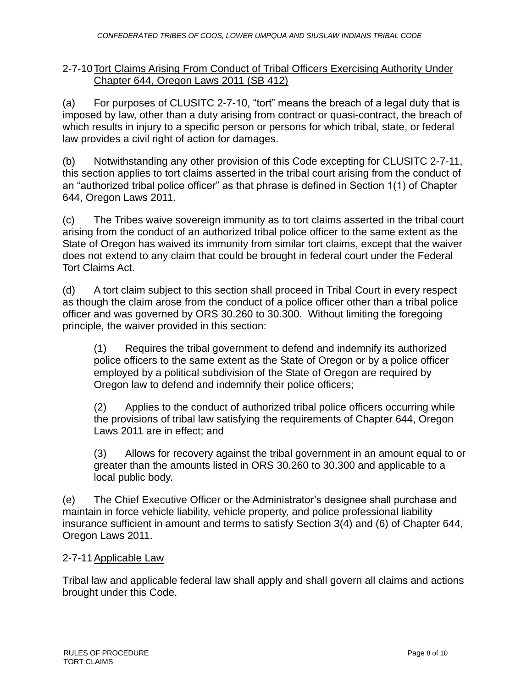## 2-7-10Tort Claims Arising From Conduct of Tribal Officers Exercising Authority Under Chapter 644, Oregon Laws 2011 (SB 412)

(a) For purposes of CLUSITC 2-7-10, "tort" means the breach of a legal duty that is imposed by law, other than a duty arising from contract or quasi-contract, the breach of which results in injury to a specific person or persons for which tribal, state, or federal law provides a civil right of action for damages.

(b) Notwithstanding any other provision of this Code excepting for CLUSITC 2-7-11, this section applies to tort claims asserted in the tribal court arising from the conduct of an "authorized tribal police officer" as that phrase is defined in Section 1(1) of Chapter 644, Oregon Laws 2011.

(c) The Tribes waive sovereign immunity as to tort claims asserted in the tribal court arising from the conduct of an authorized tribal police officer to the same extent as the State of Oregon has waived its immunity from similar tort claims, except that the waiver does not extend to any claim that could be brought in federal court under the Federal Tort Claims Act.

(d) A tort claim subject to this section shall proceed in Tribal Court in every respect as though the claim arose from the conduct of a police officer other than a tribal police officer and was governed by ORS 30.260 to 30.300. Without limiting the foregoing principle, the waiver provided in this section:

(1) Requires the tribal government to defend and indemnify its authorized police officers to the same extent as the State of Oregon or by a police officer employed by a political subdivision of the State of Oregon are required by Oregon law to defend and indemnify their police officers;

(2) Applies to the conduct of authorized tribal police officers occurring while the provisions of tribal law satisfying the requirements of Chapter 644, Oregon Laws 2011 are in effect; and

(3) Allows for recovery against the tribal government in an amount equal to or greater than the amounts listed in ORS 30.260 to 30.300 and applicable to a local public body.

(e) The Chief Executive Officer or the Administrator's designee shall purchase and maintain in force vehicle liability, vehicle property, and police professional liability insurance sufficient in amount and terms to satisfy Section 3(4) and (6) of Chapter 644, Oregon Laws 2011.

## 2-7-11Applicable Law

Tribal law and applicable federal law shall apply and shall govern all claims and actions brought under this Code.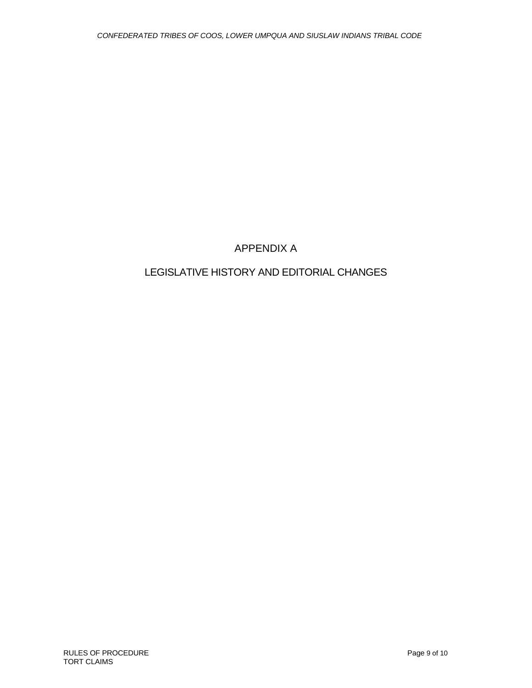# APPENDIX A

# LEGISLATIVE HISTORY AND EDITORIAL CHANGES